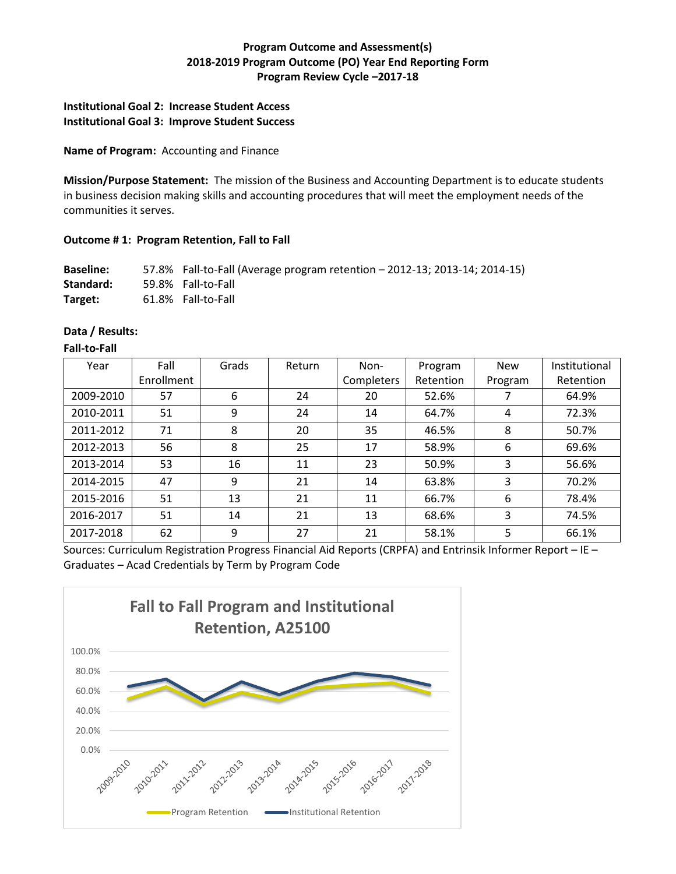# **Program Outcome and Assessment(s) 2018-2019 Program Outcome (PO) Year End Reporting Form Program Review Cycle –2017-18**

# **Institutional Goal 2: Increase Student Access Institutional Goal 3: Improve Student Success**

### **Name of Program:** Accounting and Finance

**Mission/Purpose Statement:** The mission of the Business and Accounting Department is to educate students in business decision making skills and accounting procedures that will meet the employment needs of the communities it serves.

## **Outcome # 1: Program Retention, Fall to Fall**

**Baseline:** 57.8% Fall-to-Fall (Average program retention – 2012-13; 2013-14; 2014-15) **Standard:** 59.8% Fall-to-Fall **Target:** 61.8% Fall-to-Fall

## **Data / Results:**

#### **Fall-to-Fall**

| Year      | Fall       | Grads | Return | Non-       | Program   | <b>New</b> | Institutional |
|-----------|------------|-------|--------|------------|-----------|------------|---------------|
|           | Enrollment |       |        | Completers | Retention | Program    | Retention     |
| 2009-2010 | 57         | 6     | 24     | 20         | 52.6%     |            | 64.9%         |
| 2010-2011 | 51         | 9     | 24     | 14         | 64.7%     | 4          | 72.3%         |
| 2011-2012 | 71         | 8     | 20     | 35         | 46.5%     | 8          | 50.7%         |
| 2012-2013 | 56         | 8     | 25     | 17         | 58.9%     | 6          | 69.6%         |
| 2013-2014 | 53         | 16    | 11     | 23         | 50.9%     | 3          | 56.6%         |
| 2014-2015 | 47         | 9     | 21     | 14         | 63.8%     | 3          | 70.2%         |
| 2015-2016 | 51         | 13    | 21     | 11         | 66.7%     | 6          | 78.4%         |
| 2016-2017 | 51         | 14    | 21     | 13         | 68.6%     | 3          | 74.5%         |
| 2017-2018 | 62         | 9     | 27     | 21         | 58.1%     | 5          | 66.1%         |

Sources: Curriculum Registration Progress Financial Aid Reports (CRPFA) and Entrinsik Informer Report – IE – Graduates – Acad Credentials by Term by Program Code

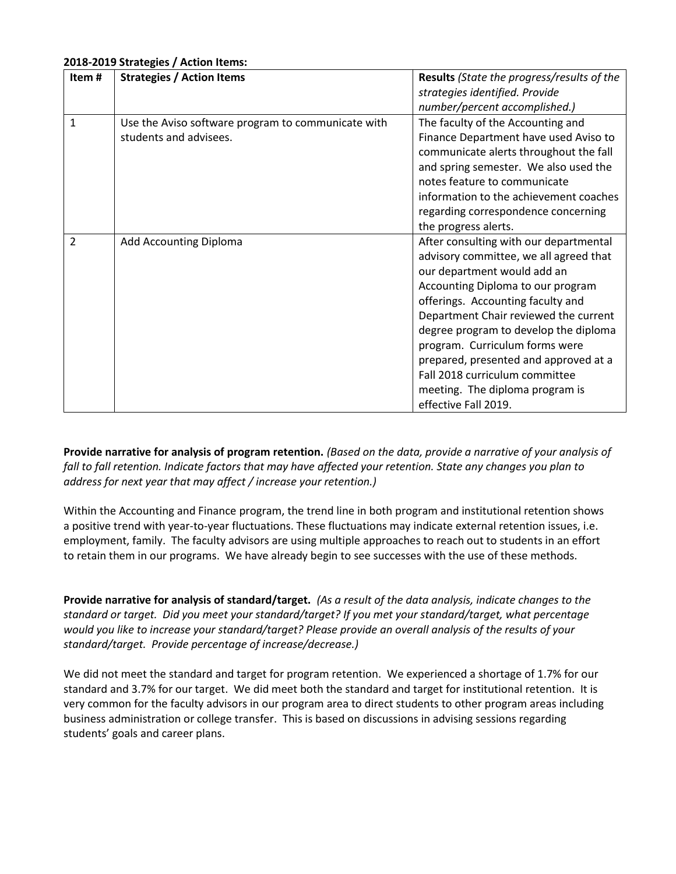#### **2018-2019 Strategies / Action Items:**

| Item#         | <b>Strategies / Action Items</b>                   | Results (State the progress/results of the |  |  |
|---------------|----------------------------------------------------|--------------------------------------------|--|--|
|               |                                                    | strategies identified. Provide             |  |  |
|               |                                                    | number/percent accomplished.)              |  |  |
| 1             | Use the Aviso software program to communicate with | The faculty of the Accounting and          |  |  |
|               | students and advisees.                             | Finance Department have used Aviso to      |  |  |
|               |                                                    | communicate alerts throughout the fall     |  |  |
|               |                                                    | and spring semester. We also used the      |  |  |
|               |                                                    | notes feature to communicate               |  |  |
|               |                                                    | information to the achievement coaches     |  |  |
|               |                                                    | regarding correspondence concerning        |  |  |
|               |                                                    | the progress alerts.                       |  |  |
| $\mathcal{P}$ | Add Accounting Diploma                             | After consulting with our departmental     |  |  |
|               |                                                    | advisory committee, we all agreed that     |  |  |
|               |                                                    | our department would add an                |  |  |
|               |                                                    | Accounting Diploma to our program          |  |  |
|               |                                                    | offerings. Accounting faculty and          |  |  |
|               |                                                    | Department Chair reviewed the current      |  |  |
|               |                                                    | degree program to develop the diploma      |  |  |
|               |                                                    | program. Curriculum forms were             |  |  |
|               |                                                    | prepared, presented and approved at a      |  |  |
|               |                                                    | Fall 2018 curriculum committee             |  |  |
|               |                                                    | meeting. The diploma program is            |  |  |
|               |                                                    | effective Fall 2019.                       |  |  |

**Provide narrative for analysis of program retention.** *(Based on the data, provide a narrative of your analysis of fall to fall retention. Indicate factors that may have affected your retention. State any changes you plan to address for next year that may affect / increase your retention.)* 

Within the Accounting and Finance program, the trend line in both program and institutional retention shows a positive trend with year-to-year fluctuations. These fluctuations may indicate external retention issues, i.e. employment, family. The faculty advisors are using multiple approaches to reach out to students in an effort to retain them in our programs. We have already begin to see successes with the use of these methods.

**Provide narrative for analysis of standard/target.** *(As a result of the data analysis, indicate changes to the standard or target. Did you meet your standard/target? If you met your standard/target, what percentage would you like to increase your standard/target? Please provide an overall analysis of the results of your standard/target. Provide percentage of increase/decrease.)*

We did not meet the standard and target for program retention. We experienced a shortage of 1.7% for our standard and 3.7% for our target. We did meet both the standard and target for institutional retention. It is very common for the faculty advisors in our program area to direct students to other program areas including business administration or college transfer. This is based on discussions in advising sessions regarding students' goals and career plans.